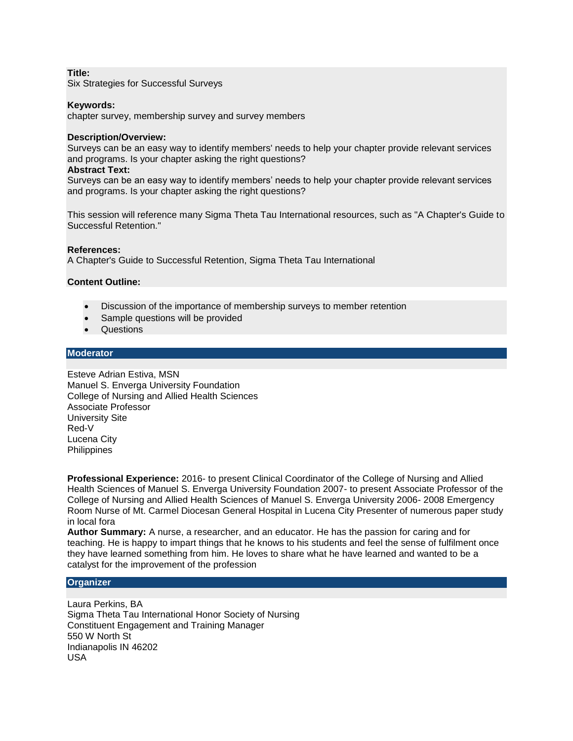# **Title:**

Six Strategies for Successful Surveys

## **Keywords:**

chapter survey, membership survey and survey members

#### **Description/Overview:**

Surveys can be an easy way to identify members' needs to help your chapter provide relevant services and programs. Is your chapter asking the right questions?

#### **Abstract Text:**

Surveys can be an easy way to identify members' needs to help your chapter provide relevant services and programs. Is your chapter asking the right questions?

This session will reference many Sigma Theta Tau International resources, such as "A Chapter's Guide to Successful Retention."

#### **References:**

A Chapter's Guide to Successful Retention, Sigma Theta Tau International

## **Content Outline:**

- Discussion of the importance of membership surveys to member retention
- Sample questions will be provided
- Questions

## **Moderator**

Esteve Adrian Estiva, MSN Manuel S. Enverga University Foundation College of Nursing and Allied Health Sciences Associate Professor University Site Red-V Lucena City **Philippines** 

**Professional Experience:** 2016- to present Clinical Coordinator of the College of Nursing and Allied Health Sciences of Manuel S. Enverga University Foundation 2007- to present Associate Professor of the College of Nursing and Allied Health Sciences of Manuel S. Enverga University 2006- 2008 Emergency Room Nurse of Mt. Carmel Diocesan General Hospital in Lucena City Presenter of numerous paper study in local fora

**Author Summary:** A nurse, a researcher, and an educator. He has the passion for caring and for teaching. He is happy to impart things that he knows to his students and feel the sense of fulfilment once they have learned something from him. He loves to share what he have learned and wanted to be a catalyst for the improvement of the profession

## **Organizer**

Laura Perkins, BA Sigma Theta Tau International Honor Society of Nursing Constituent Engagement and Training Manager 550 W North St Indianapolis IN 46202 USA